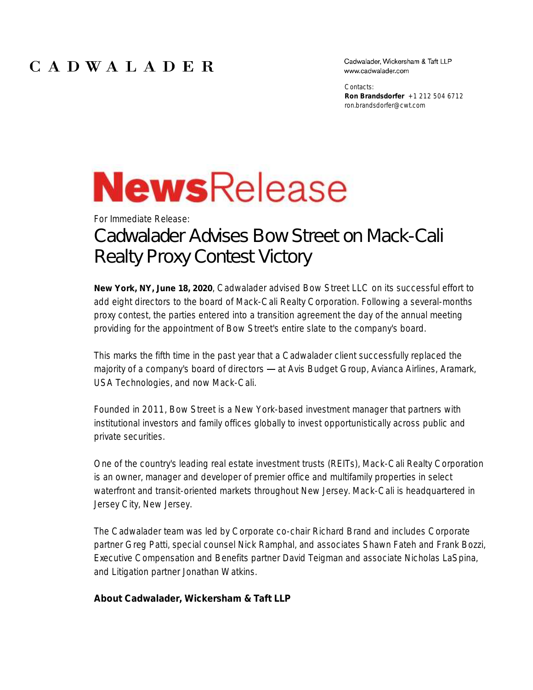## CADWALADER

Cadwalader, Wickersham & Taft LLP www.cadwalader.com

Contacts: **Ron Brandsdorfer** +1 212 504 6712 ron.brandsdorfer@cwt.com

## **NewsRelease**

## For Immediate Release: Cadwalader Advises Bow Street on Mack-Cali Realty Proxy Contest Victory

**New York, NY, June 18, 2020**, Cadwalader advised Bow Street LLC on its successful effort to add eight directors to the board of Mack-Cali Realty Corporation. Following a several-months proxy contest, the parties entered into a transition agreement the day of the annual meeting providing for the appointment of Bow Street's entire slate to the company's board.

This marks the fifth time in the past year that a Cadwalader client successfully replaced the majority of a company's board of directors - at Avis Budget Group, Avianca Airlines, Aramark, USA Technologies, and now Mack-Cali.

Founded in 2011, Bow Street is a New York-based investment manager that partners with institutional investors and family offices globally to invest opportunistically across public and private securities.

One of the country's leading real estate investment trusts (REITs), Mack-Cali Realty Corporation is an owner, manager and developer of premier office and multifamily properties in select waterfront and transit-oriented markets throughout New Jersey. Mack-Cali is headquartered in Jersey City, New Jersey.

The Cadwalader team was led by Corporate co-chair Richard Brand and includes Corporate partner Greg Patti, special counsel Nick Ramphal, and associates Shawn Fateh and Frank Bozzi, Executive Compensation and Benefits partner David Teigman and associate Nicholas LaSpina, and Litigation partner Jonathan Watkins.

**About Cadwalader, Wickersham & Taft LLP**